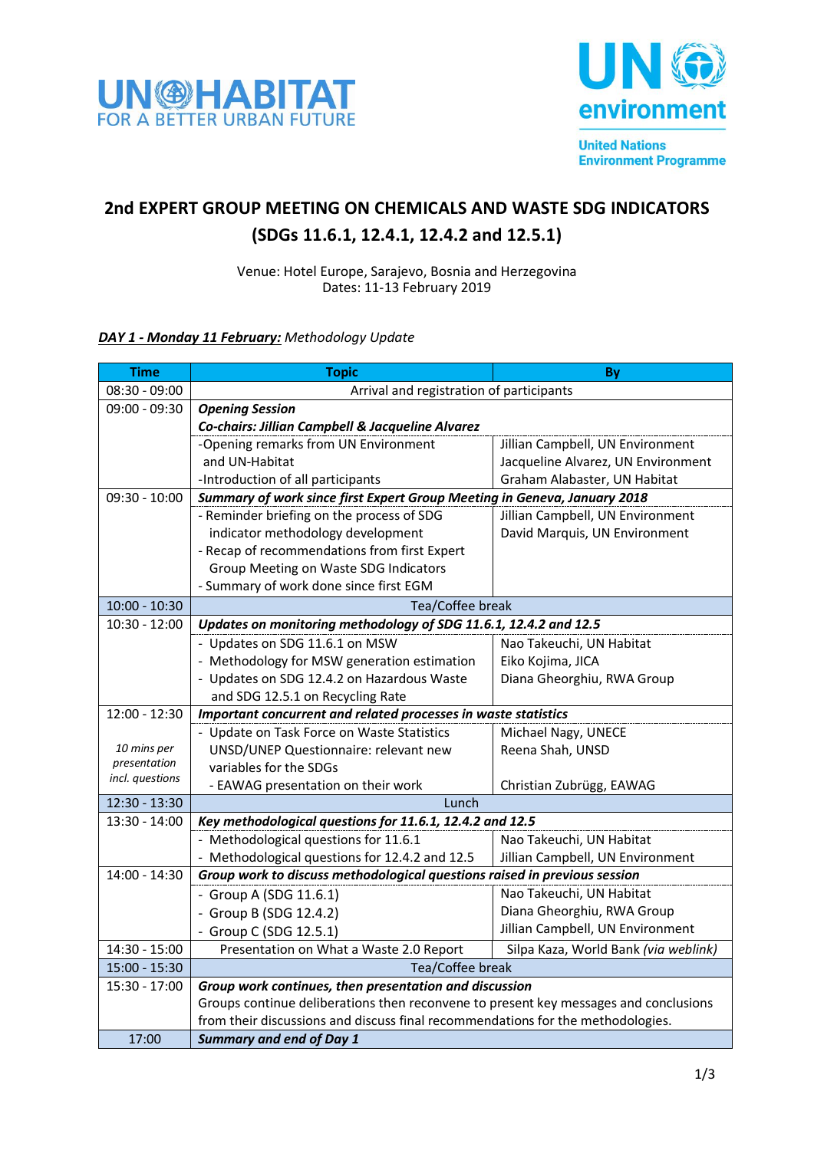



## **2nd EXPERT GROUP MEETING ON CHEMICALS AND WASTE SDG INDICATORS (SDGs 11.6.1, 12.4.1, 12.4.2 and 12.5.1)**

Venue: Hotel Europe, Sarajevo, Bosnia and Herzegovina Dates: 11-13 February 2019

## *DAY 1 - Monday 11 February: Methodology Update*

| <b>Time</b>                     | <b>Topic</b>                                                                         | By                                   |  |
|---------------------------------|--------------------------------------------------------------------------------------|--------------------------------------|--|
| $08:30 - 09:00$                 | Arrival and registration of participants                                             |                                      |  |
| 09:00 - 09:30                   | <b>Opening Session</b>                                                               |                                      |  |
|                                 | Co-chairs: Jillian Campbell & Jacqueline Alvarez                                     |                                      |  |
|                                 | -Opening remarks from UN Environment                                                 | Jillian Campbell, UN Environment     |  |
|                                 | and UN-Habitat                                                                       | Jacqueline Alvarez, UN Environment   |  |
|                                 | -Introduction of all participants                                                    | Graham Alabaster, UN Habitat         |  |
| $09:30 - 10:00$                 | Summary of work since first Expert Group Meeting in Geneva, January 2018             |                                      |  |
|                                 | - Reminder briefing on the process of SDG                                            | Jillian Campbell, UN Environment     |  |
|                                 | indicator methodology development                                                    | David Marquis, UN Environment        |  |
|                                 | - Recap of recommendations from first Expert                                         |                                      |  |
|                                 | Group Meeting on Waste SDG Indicators                                                |                                      |  |
|                                 | - Summary of work done since first EGM                                               |                                      |  |
| $10:00 - 10:30$                 | Tea/Coffee break                                                                     |                                      |  |
| $10:30 - 12:00$                 | Updates on monitoring methodology of SDG 11.6.1, 12.4.2 and 12.5                     |                                      |  |
|                                 | - Updates on SDG 11.6.1 on MSW                                                       | Nao Takeuchi, UN Habitat             |  |
|                                 | - Methodology for MSW generation estimation                                          | Eiko Kojima, JICA                    |  |
|                                 | - Updates on SDG 12.4.2 on Hazardous Waste                                           | Diana Gheorghiu, RWA Group           |  |
|                                 | and SDG 12.5.1 on Recycling Rate                                                     |                                      |  |
| 12:00 - 12:30                   | Important concurrent and related processes in waste statistics                       |                                      |  |
|                                 | - Update on Task Force on Waste Statistics                                           | Michael Nagy, UNECE                  |  |
| 10 mins per                     | UNSD/UNEP Questionnaire: relevant new                                                | Reena Shah, UNSD                     |  |
| presentation<br>incl. questions | variables for the SDGs                                                               |                                      |  |
|                                 | - EAWAG presentation on their work                                                   | Christian Zubrügg, EAWAG             |  |
| 12:30 - 13:30                   | Lunch                                                                                |                                      |  |
| 13:30 - 14:00                   | Key methodological questions for 11.6.1, 12.4.2 and 12.5                             |                                      |  |
|                                 | - Methodological questions for 11.6.1                                                | Nao Takeuchi, UN Habitat             |  |
|                                 | - Methodological questions for 12.4.2 and 12.5                                       | Jillian Campbell, UN Environment     |  |
| 14:00 - 14:30                   | Group work to discuss methodological questions raised in previous session            |                                      |  |
|                                 | - Group A (SDG 11.6.1)                                                               | Nao Takeuchi, UN Habitat             |  |
|                                 | - Group B (SDG 12.4.2)                                                               | Diana Gheorghiu, RWA Group           |  |
|                                 | - Group C (SDG 12.5.1)                                                               | Jillian Campbell, UN Environment     |  |
| 14:30 - 15:00                   | Presentation on What a Waste 2.0 Report                                              | Silpa Kaza, World Bank (via weblink) |  |
| $15:00 - 15:30$                 | Tea/Coffee break                                                                     |                                      |  |
| 15:30 - 17:00                   | Group work continues, then presentation and discussion                               |                                      |  |
|                                 | Groups continue deliberations then reconvene to present key messages and conclusions |                                      |  |
|                                 | from their discussions and discuss final recommendations for the methodologies.      |                                      |  |
| 17:00                           | <b>Summary and end of Day 1</b>                                                      |                                      |  |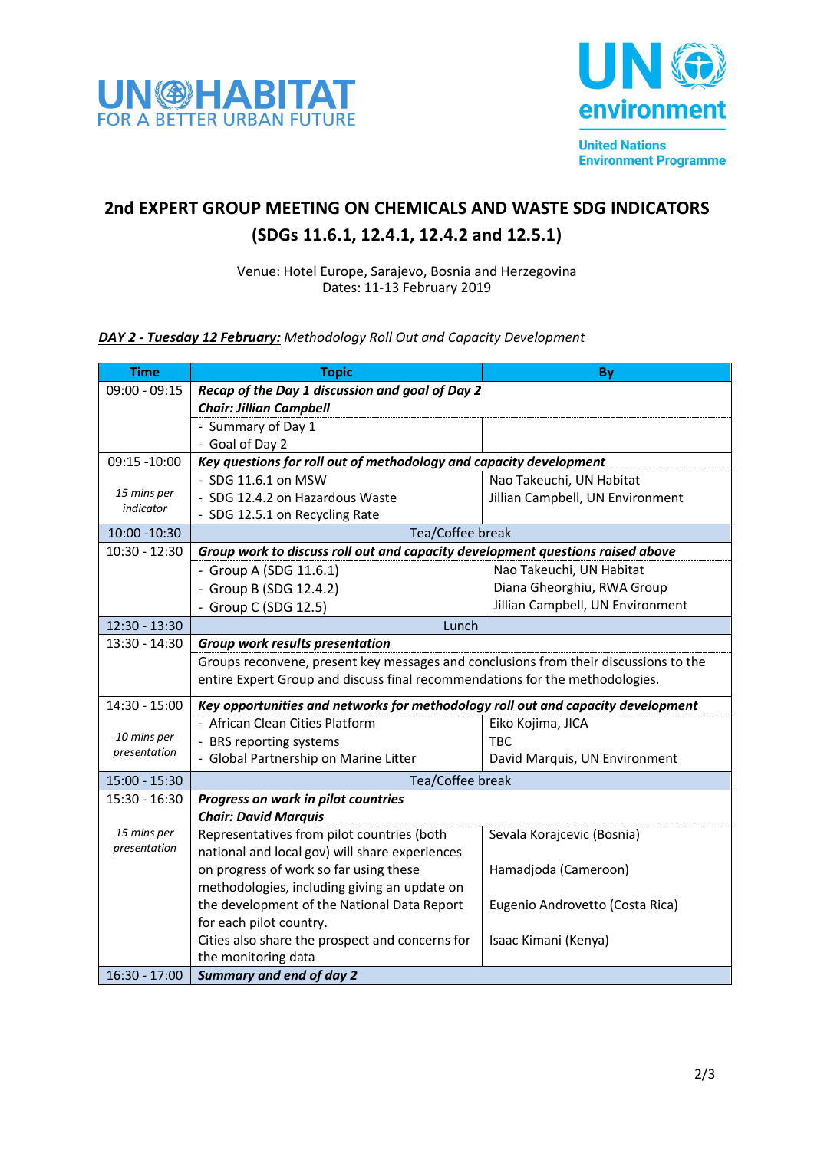



## **2nd EXPERT GROUP MEETING ON CHEMICALS AND WASTE SDG INDICATORS (SDGs 11.6.1, 12.4.1, 12.4.2 and 12.5.1)**

Venue: Hotel Europe, Sarajevo, Bosnia and Herzegovina Dates: 11-13 February 2019

*DAY 2 - Tuesday 12 February: Methodology Roll Out and Capacity Development*

| <b>Time</b>              | <b>Topic</b>                                                                         | By                               |  |
|--------------------------|--------------------------------------------------------------------------------------|----------------------------------|--|
| $09:00 - 09:15$          | Recap of the Day 1 discussion and goal of Day 2                                      |                                  |  |
|                          | <b>Chair: Jillian Campbell</b>                                                       |                                  |  |
|                          | - Summary of Day 1                                                                   |                                  |  |
|                          | - Goal of Day 2                                                                      |                                  |  |
| 09:15 -10:00             | Key questions for roll out of methodology and capacity development                   |                                  |  |
|                          | - SDG 11.6.1 on MSW                                                                  | Nao Takeuchi, UN Habitat         |  |
| 15 mins per<br>indicator | - SDG 12.4.2 on Hazardous Waste                                                      | Jillian Campbell, UN Environment |  |
|                          | - SDG 12.5.1 on Recycling Rate                                                       |                                  |  |
| 10:00 - 10:30            | Tea/Coffee break                                                                     |                                  |  |
| $10:30 - 12:30$          | Group work to discuss roll out and capacity development questions raised above       |                                  |  |
|                          | - Group A (SDG 11.6.1)                                                               | Nao Takeuchi, UN Habitat         |  |
|                          | - Group B (SDG 12.4.2)                                                               | Diana Gheorghiu, RWA Group       |  |
|                          | - Group C (SDG 12.5)                                                                 | Jillian Campbell, UN Environment |  |
| 12:30 - 13:30            | Lunch                                                                                |                                  |  |
| 13:30 - 14:30            | <b>Group work results presentation</b>                                               |                                  |  |
|                          | Groups reconvene, present key messages and conclusions from their discussions to the |                                  |  |
|                          | entire Expert Group and discuss final recommendations for the methodologies.         |                                  |  |
| 14:30 - 15:00            | Key opportunities and networks for methodology roll out and capacity development     |                                  |  |
|                          | - African Clean Cities Platform                                                      | Eiko Kojima, JICA                |  |
| 10 mins per              | - BRS reporting systems                                                              | <b>TBC</b>                       |  |
| presentation             | - Global Partnership on Marine Litter                                                | David Marquis, UN Environment    |  |
| 15:00 - 15:30            | Tea/Coffee break                                                                     |                                  |  |
| $15:30 - 16:30$          | Progress on work in pilot countries                                                  |                                  |  |
|                          | <b>Chair: David Marquis</b>                                                          |                                  |  |
| 15 mins per              | Representatives from pilot countries (both                                           | Sevala Korajcevic (Bosnia)       |  |
| presentation             | national and local gov) will share experiences                                       |                                  |  |
|                          | on progress of work so far using these                                               | Hamadjoda (Cameroon)             |  |
|                          | methodologies, including giving an update on                                         |                                  |  |
|                          | the development of the National Data Report                                          | Eugenio Androvetto (Costa Rica)  |  |
|                          | for each pilot country.                                                              |                                  |  |
|                          | Cities also share the prospect and concerns for                                      | Isaac Kimani (Kenya)             |  |
|                          | the monitoring data                                                                  |                                  |  |
| 16:30 - 17:00            | <b>Summary and end of day 2</b>                                                      |                                  |  |